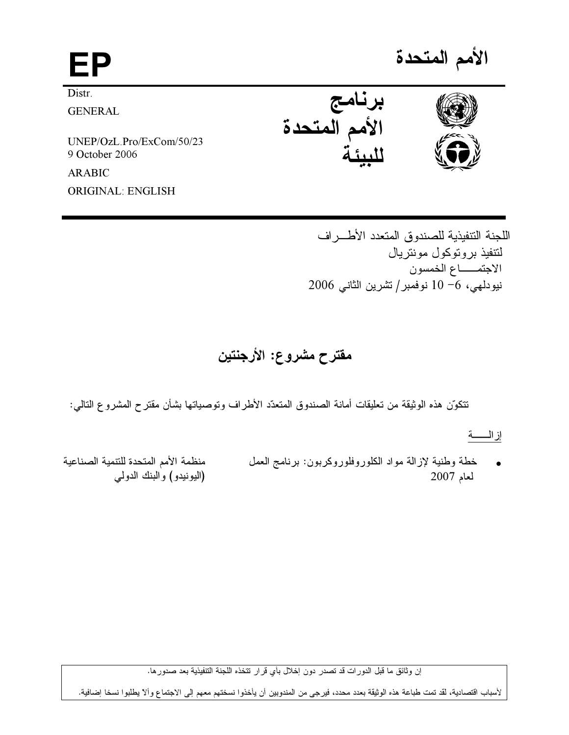## الأمم المتحدة EP ُبِرنامج<br>الأممِ المتحدة Distr. **GENERAL** UNEP/OzL.Pro/ExCom/50/23 9 October 2006 **ARABIC**

**ORIGINAL: ENGLISH** 

اللجنة التتفيذية للصندوق المتعدد الأطراف لتتفيذ بر و توكول مونتر بال الاجتمـــاع الخمسون نيودلهي، 6− 10 نوفمبر/تشرين الثاني 2006

مقترح مشروع: الأرجنتين

تتكوّن هذه الوثيقة من تعليقات أمانة الصندوق المتعدّد الأطراف وتوصياتها بشأن مقترح المشروع التالمي:

منظمة الأمم المتحدة للتنمية الصناعية خطة وطنية لإزالة مواد الكلوروفلوروكربون: برنامج العمل (اليونيدو) والبنك الدولمي  $2007$  لعام

إن وثائق ما قبل الدور ات قد تصدر دون إخلال بأي قرار تتخذه اللجنة التتفيذية بعد صدور ها.

لأسباب اقتصادية، لقد تمت طباعة هذه الوثيقة بعدد محدد، فيرجى من المندوبين أن يأخذوا نسختهم معهم إلى الاجتماع وألآ يطلبوا نسخا إضافية.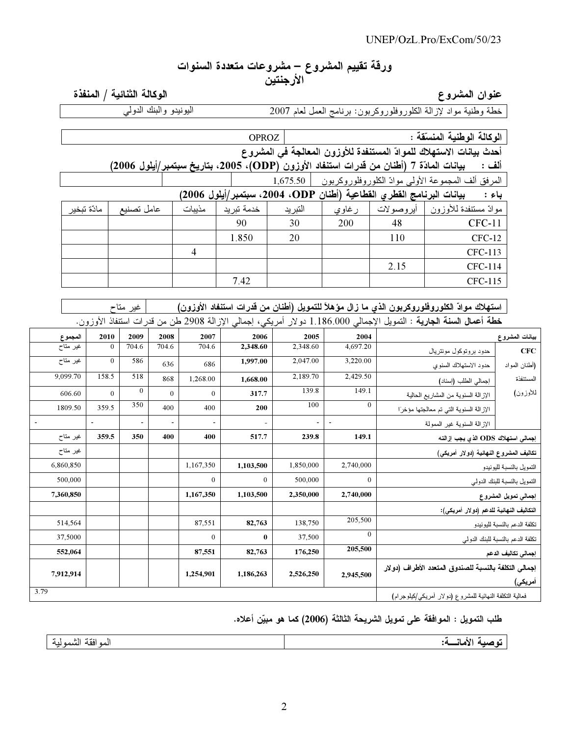# ورقة تقييم المشروع – مشروعات متعددة السنوات<br>الأرجنتين

## عنوان المشروع

.<br>خطة وطنية مواد لإزالة الكلوروفلوروكربون: برنامج العمل لعام 2007 –

الوكالة الثنائية / المنفذة

| اليونيدو والبنك الدولي |
|------------------------|
|------------------------|

|                                                                                                         |          |            |       |        | <b>OPROZ</b> |                                                                                         |          |      | الوكالة الوطنية المنسقة :                                                                                                                          |                |
|---------------------------------------------------------------------------------------------------------|----------|------------|-------|--------|--------------|-----------------------------------------------------------------------------------------|----------|------|----------------------------------------------------------------------------------------------------------------------------------------------------|----------------|
|                                                                                                         |          |            |       |        |              |                                                                                         |          |      | أحدث بيانات الاستهلاك للموادّ المستنفدة للأوزون المعالجة في المشروع                                                                                |                |
|                                                                                                         |          |            |       |        |              | بيانات المادّة 7 (أطنان من قدرات استنفاد الأوزون (ODP)، 2005، بتاريخ سبتمبر/أيلول 2006) |          |      | ألف :                                                                                                                                              |                |
|                                                                                                         |          |            |       |        |              | 1,675.50                                                                                |          |      | المرفق ألف المجموعة الأولى موادّ الكلوروفلوروكربون                                                                                                 |                |
| بيانات البرنامج الفطري الفطاعية (أطنان ODP، 2004، سبتمبر/أيلول 2006)<br>باء :                           |          |            |       |        |              |                                                                                         |          |      |                                                                                                                                                    |                |
| مادّة تبخير                                                                                             |          | عامل تصنيع |       | مذيبات | خدمة تبريد   | التبريد                                                                                 | ر غاوي   |      | موادّ مستنفدة للأوزون   أيروصولات                                                                                                                  |                |
|                                                                                                         |          |            |       |        | 90           | 30                                                                                      | 200      | 48   | $CFC-11$                                                                                                                                           |                |
|                                                                                                         |          |            |       |        | 1.850        | 20                                                                                      |          | 110  | $CFC-12$                                                                                                                                           |                |
|                                                                                                         |          |            |       | 4      |              |                                                                                         |          |      | CFC-113                                                                                                                                            |                |
|                                                                                                         |          |            |       |        |              |                                                                                         |          | 2.15 | CFC-114                                                                                                                                            |                |
|                                                                                                         |          |            |       |        | 7.42         |                                                                                         |          |      | CFC-115                                                                                                                                            |                |
|                                                                                                         |          |            |       |        |              |                                                                                         |          |      |                                                                                                                                                    |                |
| استهلاك موادّ الكلوروفلوروكربون الذي ما زال مؤهلاً للتمويل (أطنان من قدرات استنفاد الأوزون)<br>غیر متاح |          |            |       |        |              |                                                                                         |          |      |                                                                                                                                                    |                |
|                                                                                                         |          |            |       |        |              |                                                                                         |          |      | <b>خطة أعمال السنة الجارية</b> : النمويل الإجمال <sub>ت</sub> 1.186.000 دولار أمريكي، إجمال <sub>ت</sub> الإزالة 2908 طن من قدرات استنفاذ الأوزون. |                |
| المجموع                                                                                                 | 2010     | 2009       | 2008  | 2007   | 2006         | 2005                                                                                    | 2004     |      |                                                                                                                                                    | بيانات المشروع |
| غير متاح                                                                                                | $\theta$ | 704.6      | 704.6 | 704.6  | 2,348.60     | 2,348.60                                                                                | 4,697.20 |      | حده د بره تو کول مونتن بال                                                                                                                         | CFC.           |

| بيانات المشروع                   |                                                         | 2004           | 2005                     | 2006                     | 2007                     | 2008                     | 2009                     | 2010                     | المجموع   |
|----------------------------------|---------------------------------------------------------|----------------|--------------------------|--------------------------|--------------------------|--------------------------|--------------------------|--------------------------|-----------|
| CFC                              | حدود بروتوكول مونتريال                                  | 4,697.20       | 2,348.60                 | 2,348.60                 | 704.6                    | 704.6                    | 704.6                    | $\overline{0}$           | غیر متاح  |
| (أطنان المواد                    | حدود الاستهلاك السنوي                                   | 3,220.00       | 2,047.00                 | 1,997.00                 | 686                      | 636                      | 586                      | $\mathbf{0}$             | غیر متاح  |
| المستنفذة                        | إجمالي الطلب (إسناد)                                    | 2,429.50       | 2,189.70                 | 1,668.00                 | 1,268.00                 | 868                      | 518                      | 158.5                    | 9,099.70  |
| للأوزون)                         | الإزالة السنوية من المشاريع الحالية                     | 149.1          | 139.8                    | 317.7                    | $\overline{0}$           | $\mathbf{0}$             | $\overline{0}$           | $\mathbf{0}$             | 606.60    |
|                                  | الإزالة السنوية التي تم معالجتها مؤخرا                  | $\theta$       | 100                      | 200                      | 400                      | 400                      | 350                      | 359.5                    | 1809.50   |
|                                  | الإزالة السنوية غير الممولة                             | $\blacksquare$ | $\overline{\phantom{a}}$ | $\overline{\phantom{a}}$ | $\overline{\phantom{a}}$ | $\overline{\phantom{a}}$ | $\overline{\phantom{a}}$ | $\overline{\phantom{a}}$ |           |
|                                  | إجمالي استهلاك ODS الذي يجب إزالته                      | 149.1          | 239.8                    | 517.7                    | 400                      | 400                      | 350                      | 359.5                    | غير متاح  |
|                                  | تكاليف المشروع النهائية (دولار أمريكي)                  |                |                          |                          |                          |                          |                          |                          | غير متاح  |
| التمويل بالنسبة لليونيدو         |                                                         | 2,740,000      | 1,850,000                | 1,103,500                | 1,167,350                |                          |                          |                          | 6,860,850 |
| التمويل بالنسبة للبنك الدولي     |                                                         | $\mathbf{0}$   | 500,000                  | $\mathbf{0}$             | $\overline{0}$           |                          |                          |                          | 500,000   |
| إجمالي تمويل المشروع             |                                                         | 2,740,000      | 2,350,000                | 1,103,500                | 1,167,350                |                          |                          |                          | 7,360,850 |
|                                  | التكاليف النهائية للدعم (دولار أمريكي):                 |                |                          |                          |                          |                          |                          |                          |           |
| تكلفة الدعم بالنسبة لليونيدو     |                                                         | 205,500        | 138,750                  | 82,763                   | 87,551                   |                          |                          |                          | 514,564   |
| تكلفة الدعم بالنسبة للبنك الدولي |                                                         | $\theta$       | 37,500                   | $\bf{0}$                 | $\overline{0}$           |                          |                          |                          | 37,5000   |
| إجمالي تكاليف الدعم              |                                                         | 205,500        | 176,250                  | 82,763                   | 87,551                   |                          |                          |                          | 552,064   |
|                                  | إجمالي التكلفة بالنسبة للصندوق المتعدد الأطراف (دولار   |                |                          |                          |                          |                          |                          |                          |           |
| أمريكي)                          |                                                         | 2,945,500      | 2,526,250                | 1,186,263                | 1,254,901                |                          |                          |                          | 7,912,914 |
|                                  | فعالية التكلفة النهائية للمشروع (دولار أمريكي/كيلوجرام) |                |                          |                          |                          |                          |                          |                          | 3.79      |

### طلب التمويل : الموافقة على تمويل الشريحة الثالثة (2006) كما هو مبيّن أعلاه.

| .<br>. . |
|----------|
|----------|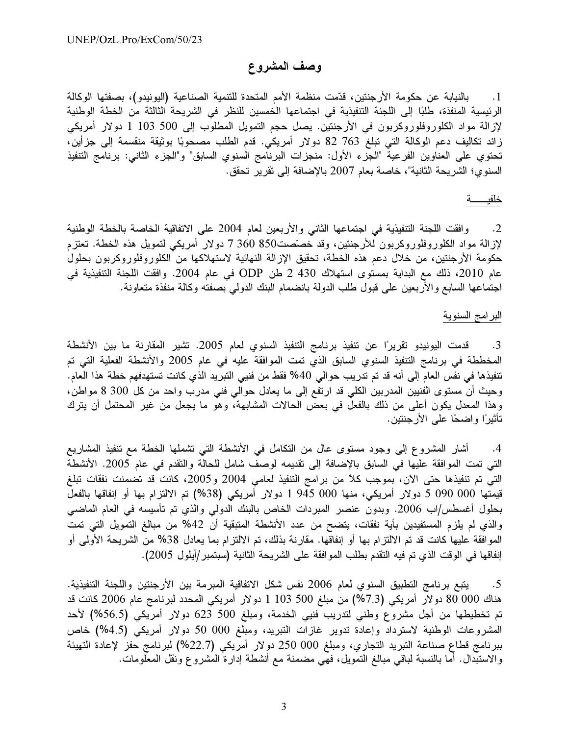#### وصف المشروع

1. بالنيابة عن حكومة الأرجنتين، قدّمت منظمة الأمم المتحدة للتنمية الصناعية (اليونيدو)، بصفتها الوكالة الرئيسية المنفذة، طلبًا إلى اللجنة التنفيذية في اجتماعها الخمسين للنظر في الشريحة الثالثة من الخطة الوطنية لإزالة مواد الكلوروفلوروكربون في الأرجنتين. يصل حجم التمويل المطلوب إلى 500 103 1 دولار أمريكي زائد تكاليف دعم الوكالة التي تبلغ 763 82 دولار أمريكي. قدم الطلب مصحوبًا بوثيقة منقسمة إلى جزأين، تحتوي على العناوين الفرعية "الجزء الأول: منجزات البرنامج السنوي السابق" و"الجزء الثاني: برنامج التنفيذ السنوي؛ الشريحة الثانية"، خاصة بعام 2007 بالإضافة إلى تقرير تحقق.

#### 

وافقت اللجنة التنفيذية في اجتماعها الثاني والأربعين لعام 2004 على الاتفاقية الخاصة بالخطة الوطنية  $\cdot$ .2 لإزالة مواد الكلوروفلوروكربون للأرجنتين، وقد خصَّصت850 360 7 دولار أمريكي لتمويل هذه الخطة. تعتزم حكومة الأرجنتين، من خلال دعم هذه الخطة، تحقيق الإزالة النهائية لاستهلاكها من الكلوروفلوروكربون بحلول عام 2010، ذلك مع البداية بمستوى استهلاك 430 2 طن ODP في عام 2004. وافقت اللجنة التتفيذية في اجتماعها السابع والأربعين على قبول طلب الدولة بانضمام البنك الدولمي بصفته وكالة منفذة متعاونة.

البرامج السنوية

قدمت اليونيدو تقريرًا عن تنفيذ برنامج التنفيذ السنوي لعام 2005. تشير المقارنة ما بين الأنشطة .3 المخططة في برنامج التنفيذ السنوي السابق الذي تمت الموافقة عليه في عام 2005 والأنشطة الفعلية التي تم تتفيذها في نفس العام إلى أنه قد تم تدريب حوالي 40% فقط من فنيي التبريد الذي كانت تستهدفهم خطة هذا العام. وحيث أن مستوى الفنيين المدربين الكلي قد ارتفع إلى ما يعادل حوالي فني مدرب واحد من كل 300 8 مواطن، وهذا المعدل يكون أعلى من ذلك بالفعل في بعض الحالات المشابهة، وهو ما يجعل من غير المحتمل أن يترك تأثيرًا واضحًا على الأر جنتين.

أشار المشروع إلى وجود مستوى عالٍ من التكامل في الأنشطة التي تشملها الخطة مع تنفيذ المشاريع  $.4$ التي تمت الموافقة عليها في السابق بالإضافة إلى تقديمه لوصف شامل للحالة والنقدم في عام 2005. الأنشطة التي تم تنفيذها حتى الآن، بموجب كلاً من برامج التنفيذ لعامي 2004 و2005، كانت قد تضمنت نفقات تبلغ قيمتها 000 090 5 دولار أمريكي، منها 000 945 1 دولار أمريكي (38%) تم الالتزام بها أو إنفاقها بالفعل بحلول أغسطس/آب 2006. وبدون عنصر المبردات الخاص بالبنك الدولي والذي تم تأسيسه في العام الماضي والذي لم يلزم المستفيدين بأية نفقات، يتضح من عدد الأنشطة المتبقية أن 42% من مبالغ التمويل التي تمت الموافقة عليها كانت قد تم الالتزام بها أو إنفاقها. مقارنة بذلك، تم الالتزام بما يعادل 38% من الشريحة الأولمي أو إنفاقها في الوقت الذي تم فيه التقدم بطلب الموافقة على الشريحة الثانية (سبتمبر/أيلول 2005).

يتبع برنامج التطبيق السنوي لعام 2006 نفس شكل الاتفاقية المبرمة بين الأرجنتين واللجنة التنفيذية.  $\cdot$ .5 هناك 000 00 دولار أمريكي (7.3%) من مبلغ 500 103 1 دولار أمريكي المحدد لبرنامج عام 2006 كانت قد تم تخطيطها من أجل مشروع وطني لتدريب فنيي الخدمة، ومبلغ 500 623 دولار أمريكي (56.5%) لأحد المشروعات الوطنية لاسترداد وإعادة تدوير غازات التبريد، ومبلغ 000 50 دولار أمريكي (4.5%) خاص ببرنامج قطاع صناعة التبريد التجاري، ومبلغ 000 250 دولار أمريكي (22.7%) لبرنامج حفز لإعادة التهيئة والاستبدال. أما بالنسبة لباقي مبالغ التمويل، فهي مضمنة مع أنشطة إدارة المشروع ونقل المعلومات.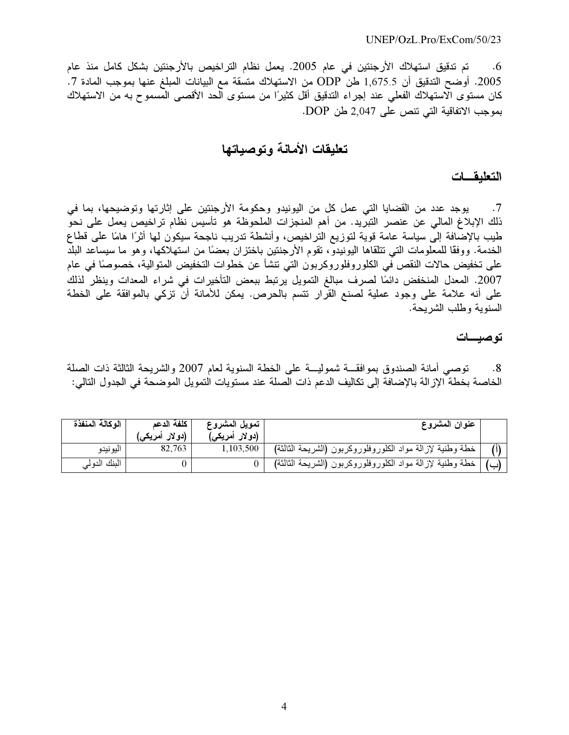تم تدقيق استهلاك الأرجنتين في عام 2005. يعمل نظام التراخيص بالأرجنتين بشكل كامل منذ عام  $.6$ 2005. أوضح التدقيق أن 1,675.5 طن ODP من الاستهلاك متسقة مع البيانات المبلغ عنها بموجب المادة 7. كان مستوى الاستهلاك الفعلي عند إجراء التدقيق أقل كثيرًا من مستوى الحد الأقصـي المسموح بـه من الاستهلاك بموجب الاتفاقية التي تنص على 2,047 طن DOP.

## تعليقات الأمانة وتوصباتها

#### التعليقسات

يوجد عدد من القضايا التي عمل كل من اليونيدو وحكومة الأرجنتين على إثارتها وتوضيحها، بما في  $\cdot$ .7 ذلك الإبلاغ المالي عن عنصر التبريد. من أهم المنجزات الملحوظة هو تأسيس نظام تراخيص يعمل على نحوّ طيب بالإضَّافة إلىَّ سياسة عامة قوية لتوزيع التَّراخيص، وأنشطة تدريب ناجحة سيكون لمها أثرًا هامًا على قطاع الخدمة. ووفقًا للمعلومات التي تتلقاها اليونيدو، تقوم الأرجنتين باختزان بعضًا من استهلاكها، وهو ما سيساعد البلد على تخفيض حالات النقص في الكلوروفلوروكربون التي تنشأ عن خطوات التخفيض المتوالية، خصوصًا في عام 2007. المعدل المنخفض دائمًا لصرف مبالغ التمويل يرتبط ببعض التأخيرات في شراء المعدات وينظر لذلك على أنه علامة على وجود عملية لصنع القرار نتسم بالحرص. يمكن للأمانة أن نزكى بالموافقة على الخطة السنوية وطلب الشريحة.

#### توصيسات

توصبي أمانة الصندوق بموافقـــة شموليـــة على الخطة السنوية لعام 2007 والشريحة الثالثة ذات الصلة  $^{-.8}$ الخاصة بخطة الإزالة بالإضافة إلى تكاليف الدعم ذات الصلة عند مستويات التمويل الموضحة في الجدول التالي:

| الوكالة المنفذة | كلفة الدعم<br>(دو لار أمريكي <sub>)</sub> | تمويل المشروع<br>(دو لار أمري <i>كي</i> ) | عنوان المشروع                                             |  |
|-----------------|-------------------------------------------|-------------------------------------------|-----------------------------------------------------------|--|
| اليونيدو        | 82,763                                    | 1,103,500                                 | خطة وطنية لإزالة مواد الكلوروفلوروكربون (الشريحة الثالثة) |  |
| البنك الدولمي   |                                           |                                           | خطة وطنية لإزالة مواد الكلوروفلوروكربون (الشريحة الثالثة) |  |